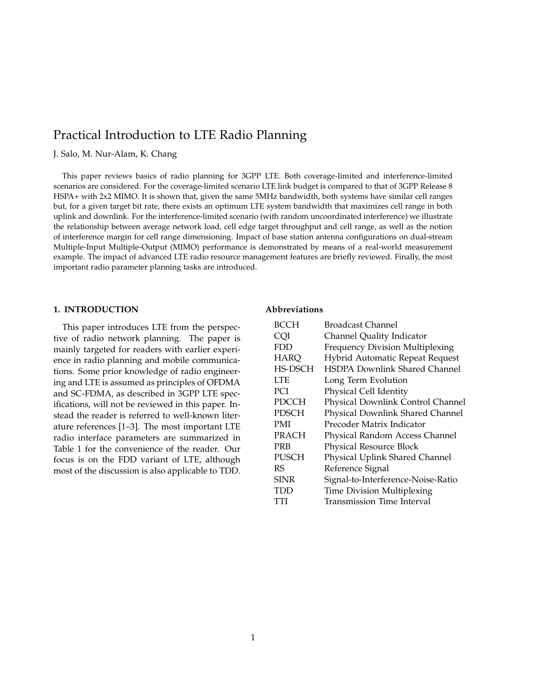# Practical Introduction to LTE Radio Planning

J. Salo, M. Nur-Alam, K. Chang

This paper reviews basics of radio planning for 3GPP LTE. Both coverage-limited and interference-limited scenarios are considered. For the coverage-limited scenario LTE link budget is compared to that of 3GPP Release 8 HSPA+ with 2x2 MIMO. It is shown that, given the same 5MHz bandwidth, both systems have similar cell ranges but, for a given target bit rate, there exists an optimum LTE system bandwidth that maximizes cell range in both uplink and downlink. For the interference-limited scenario (with random uncoordinated interference) we illustrate the relationship between average network load, cell edge target throughput and cell range, as well as the notion of interference margin for cell range dimensioning. Impact of base station antenna configurations on dual-stream Multiple-Input Multiple-Output (MIMO) performance is demonstrated by means of a real-world measurement example. The impact of advanced LTE radio resource management features are briefly reviewed. Finally, the most important radio parameter planning tasks are introduced.

### **1. INTRODUCTION**

This paper introduces LTE from the perspective of radio network planning. The paper is mainly targeted for readers with earlier experience in radio planning and mobile communications. Some prior knowledge of radio engineering and LTE is assumed as principles of OFDMA and SC-FDMA, as described in 3GPP LTE specifications, will not be reviewed in this paper. Instead the reader is referred to well-known literature references [1–3]. The most important LTE radio interface parameters are summarized in Table 1 for the convenience of the reader. Our focus is on the FDD variant of LTE, although most of the discussion is also applicable to TDD.

### **Abbreviations**

| BCCH         | Broadcast Channel                    |
|--------------|--------------------------------------|
| CQI          | Channel Quality Indicator            |
| <b>FDD</b>   | Frequency Division Multiplexing      |
| <b>HARQ</b>  | Hybrid Automatic Repeat Request      |
| HS-DSCH      | <b>HSDPA Downlink Shared Channel</b> |
| LTE          | Long Term Evolution                  |
| PCI          | Physical Cell Identity               |
| <b>PDCCH</b> | Physical Downlink Control Channel    |
| PDSCH        | Physical Downlink Shared Channel     |
| PMI          | Precoder Matrix Indicator            |
| PRACH        | Physical Random Access Channel       |
| PRB          | Physical Resource Block              |
| PUSCH        | Physical Uplink Shared Channel       |
| RS           | Reference Signal                     |
| SINR         | Signal-to-Interference-Noise-Ratio   |
| TDD          | Time Division Multiplexing           |
| TTI          | Transmission Time Interval           |
|              |                                      |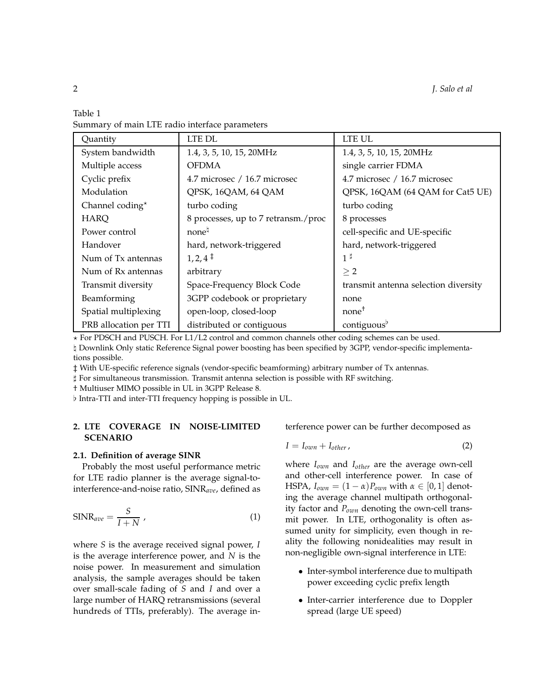| Table 1 |  |                                                |
|---------|--|------------------------------------------------|
|         |  | Summary of main LTE radio interface parameters |

| Quantity               | LTE DL                              | LTE UL                               |
|------------------------|-------------------------------------|--------------------------------------|
| System bandwidth       | 1.4, 3, 5, 10, 15, 20MHz            | 1.4, 3, 5, 10, 15, 20MHz             |
| Multiple access        | <b>OFDMA</b>                        | single carrier FDMA                  |
| Cyclic prefix          | 4.7 microsec / 16.7 microsec        | 4.7 microsec / 16.7 microsec         |
| Modulation             | QPSK, 16QAM, 64 QAM                 | QPSK, 16QAM (64 QAM for Cat5 UE)     |
| Channel coding*        | turbo coding                        | turbo coding                         |
| <b>HARQ</b>            | 8 processes, up to 7 retransm./proc | 8 processes                          |
| Power control          | none <sup>h</sup>                   | cell-specific and UE-specific        |
| Handover               | hard, network-triggered             | hard, network-triggered              |
| Num of Tx antennas     | $1, 2, 4^{\dagger}$                 | $1^{\sharp}$                         |
| Num of Rx antennas     | arbitrary                           | $\geq 2$                             |
| Transmit diversity     | Space-Frequency Block Code          | transmit antenna selection diversity |
| Beamforming            | 3GPP codebook or proprietary        | none                                 |
| Spatial multiplexing   | open-loop, closed-loop              | none <sup>†</sup>                    |
| PRB allocation per TTI | distributed or contiguous           | contiguous <sup>p</sup>              |

 $\star$  For PDSCH and PUSCH. For L1/L2 control and common channels other coding schemes can be used.

♮ Downlink Only static Reference Signal power boosting has been specified by 3GPP, vendor-specific implementations possible.

‡ With UE-specific reference signals (vendor-specific beamforming) arbitrary number of Tx antennas.

♯ For simultaneous transmission. Transmit antenna selection is possible with RF switching.

† Multiuser MIMO possible in UL in 3GPP Release 8.

♭ Intra-TTI and inter-TTI frequency hopping is possible in UL.

# **2. LTE COVERAGE IN NOISE-LIMITED SCENARIO**

#### **2.1. Definition of average SINR**

Probably the most useful performance metric for LTE radio planner is the average signal-tointerference-and-noise ratio, SINR*ave*, defined as

$$
SINR_{ave} = \frac{S}{I+N} \tag{1}
$$

where *S* is the average received signal power, *I* is the average interference power, and *N* is the noise power. In measurement and simulation analysis, the sample averages should be taken over small-scale fading of *S* and *I* and over a large number of HARQ retransmissions (several hundreds of TTIs, preferably). The average interference power can be further decomposed as

$$
I = I_{own} + I_{other} \tag{2}
$$

where *Iown* and *Iother* are the average own-cell and other-cell interference power. In case of HSPA,  $I_{own} = (1 - \alpha)P_{own}$  with  $\alpha \in [0, 1]$  denoting the average channel multipath orthogonality factor and *Pown* denoting the own-cell transmit power. In LTE, orthogonality is often assumed unity for simplicity, even though in reality the following nonidealities may result in non-negligible own-signal interference in LTE:

- Inter-symbol interference due to multipath power exceeding cyclic prefix length
- Inter-carrier interference due to Doppler spread (large UE speed)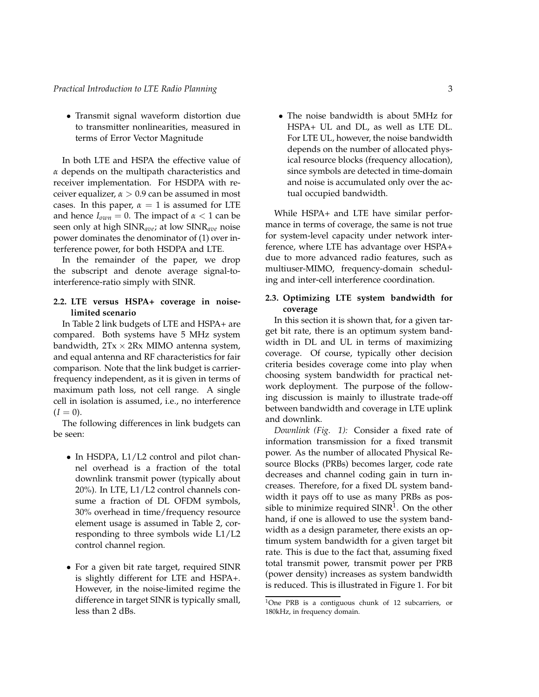• Transmit signal waveform distortion due to transmitter nonlinearities, measured in terms of Error Vector Magnitude

In both LTE and HSPA the effective value of *α* depends on the multipath characteristics and receiver implementation. For HSDPA with receiver equalizer,  $\alpha > 0.9$  can be assumed in most cases. In this paper,  $\alpha = 1$  is assumed for LTE and hence  $I_{own} = 0$ . The impact of  $\alpha < 1$  can be seen only at high SINR*ave*; at low SINR*ave* noise power dominates the denominator of (1) over interference power, for both HSDPA and LTE.

In the remainder of the paper, we drop the subscript and denote average signal-tointerference-ratio simply with SINR.

# **2.2. LTE versus HSPA+ coverage in noiselimited scenario**

In Table 2 link budgets of LTE and HSPA+ are compared. Both systems have 5 MHz system bandwidth,  $2Tx \times 2Rx$  MIMO antenna system, and equal antenna and RF characteristics for fair comparison. Note that the link budget is carrierfrequency independent, as it is given in terms of maximum path loss, not cell range. A single cell in isolation is assumed, i.e., no interference  $(I = 0).$ 

The following differences in link budgets can be seen:

- In HSDPA, L1/L2 control and pilot channel overhead is a fraction of the total downlink transmit power (typically about 20%). In LTE, L1/L2 control channels consume a fraction of DL OFDM symbols, 30% overhead in time/frequency resource element usage is assumed in Table 2, corresponding to three symbols wide L1/L2 control channel region.
- For a given bit rate target, required SINR is slightly different for LTE and HSPA+. However, in the noise-limited regime the difference in target SINR is typically small, less than 2 dBs.

• The noise bandwidth is about 5MHz for HSPA+ UL and DL, as well as LTE DL. For LTE UL, however, the noise bandwidth depends on the number of allocated physical resource blocks (frequency allocation), since symbols are detected in time-domain and noise is accumulated only over the actual occupied bandwidth.

While HSPA+ and LTE have similar performance in terms of coverage, the same is not true for system-level capacity under network interference, where LTE has advantage over HSPA+ due to more advanced radio features, such as multiuser-MIMO, frequency-domain scheduling and inter-cell interference coordination.

# **2.3. Optimizing LTE system bandwidth for coverage**

In this section it is shown that, for a given target bit rate, there is an optimum system bandwidth in DL and UL in terms of maximizing coverage. Of course, typically other decision criteria besides coverage come into play when choosing system bandwidth for practical network deployment. The purpose of the following discussion is mainly to illustrate trade-off between bandwidth and coverage in LTE uplink and downlink.

*Downlink (Fig. 1):* Consider a fixed rate of information transmission for a fixed transmit power. As the number of allocated Physical Resource Blocks (PRBs) becomes larger, code rate decreases and channel coding gain in turn increases. Therefore, for a fixed DL system bandwidth it pays off to use as many PRBs as possible to minimize required SINR<sup>1</sup>. On the other hand, if one is allowed to use the system bandwidth as a design parameter, there exists an optimum system bandwidth for a given target bit rate. This is due to the fact that, assuming fixed total transmit power, transmit power per PRB (power density) increases as system bandwidth is reduced. This is illustrated in Figure 1. For bit

<sup>&</sup>lt;sup>1</sup>One PRB is a contiguous chunk of 12 subcarriers, or 180kHz, in frequency domain.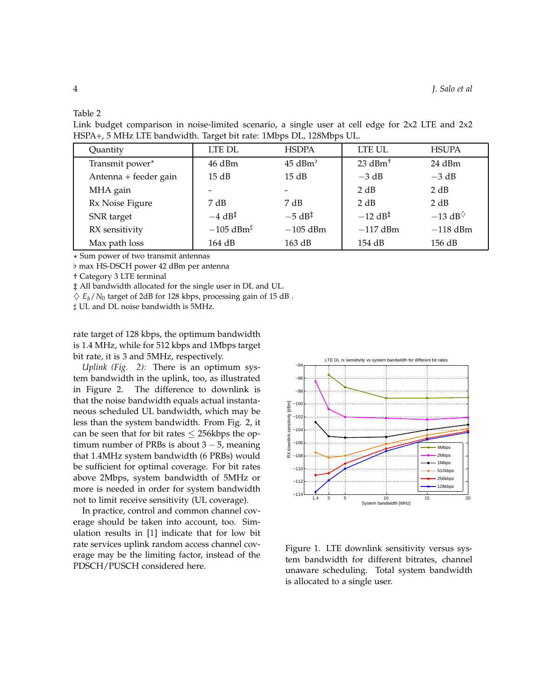Table 2

Link budget comparison in noise-limited scenario, a single user at cell edge for 2x2 LTE and 2x2 HSPA+, 5 MHz LTE bandwidth. Target bit rate: 1Mbps DL, 128Mbps UL.

| Quantity              | LTE DL                  | <b>HSDPA</b>                             | LTE UL                | <b>HSUPA</b>                              |
|-----------------------|-------------------------|------------------------------------------|-----------------------|-------------------------------------------|
| Transmit power*       | 46 dBm                  | $45$ dBm <sup>b</sup>                    | $23$ dBm <sup>+</sup> | $24$ dBm                                  |
| Antenna + feeder gain | 15 dB                   | 15 dB                                    | $-3 dB$               | $-3 dB$                                   |
| MHA gain              | ۰                       | $\overline{\phantom{0}}$                 | 2 dB                  | 2 dB                                      |
| Rx Noise Figure       | 7 dB                    | 7 dB                                     | 2 dB                  | 2 dB                                      |
| SNR target            | $-4$ dB <sup>‡</sup>    | $-5$ dB <sup><math>\ddagger</math></sup> | $-12$ dB <sup>‡</sup> | $-13$ dB <sup><math>\diamond</math></sup> |
| RX sensitivity        | $-105$ dBm <sup>‡</sup> | $-105$ dBm                               | $-117$ dBm            | $-118$ dBm                                |
| Max path loss         | 164 dB                  | 163 dB                                   | 154 dB                | $156$ dB                                  |

 $\star$  Sum power of two transmit antennas

♭ max HS-DSCH power 42 dBm per antenna

† Category 3 LTE terminal

‡ All bandwidth allocated for the single user in DL and UL.

 $\Diamond$   $E_b/N_0$  target of 2dB for 128 kbps, processing gain of 15 dB.

♯ UL and DL noise bandwidth is 5MHz.

rate target of 128 kbps, the optimum bandwidth is 1.4 MHz, while for 512 kbps and 1Mbps target bit rate, it is 3 and 5MHz, respectively.

*Uplink (Fig. 2):* There is an optimum system bandwidth in the uplink, too, as illustrated in Figure 2. The difference to downlink is that the noise bandwidth equals actual instantaneous scheduled UL bandwidth, which may be less than the system bandwidth. From Fig. 2, it can be seen that for bit rates  $\leq$  256kbps the optimum number of PRBs is about  $3 - 5$ , meaning that 1.4MHz system bandwidth (6 PRBs) would be sufficient for optimal coverage. For bit rates above 2Mbps, system bandwidth of 5MHz or more is needed in order for system bandwidth not to limit receive sensitivity (UL coverage).

In practice, control and common channel coverage should be taken into account, too. Simulation results in [1] indicate that for low bit rate services uplink random access channel coverage may be the limiting factor, instead of the PDSCH/PUSCH considered here.



Figure 1. LTE downlink sensitivity versus system bandwidth for different bitrates, channel unaware scheduling. Total system bandwidth is allocated to a single user.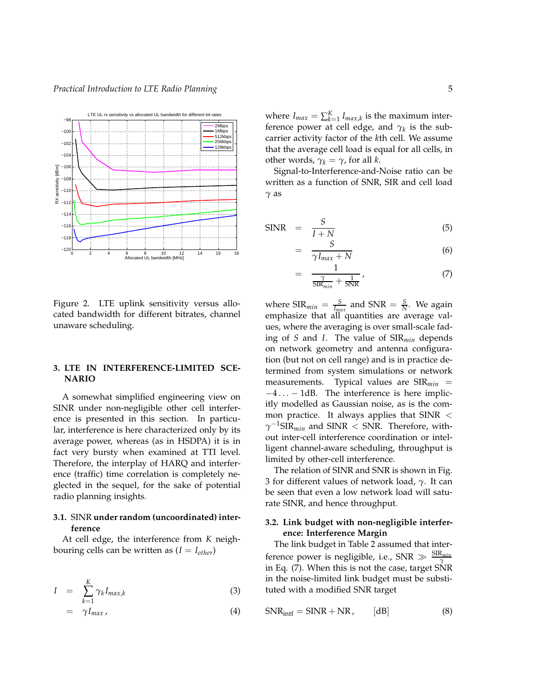

Figure 2. LTE uplink sensitivity versus allocated bandwidth for different bitrates, channel unaware scheduling.

# **3. LTE IN INTERFERENCE-LIMITED SCE-NARIO**

A somewhat simplified engineering view on SINR under non-negligible other cell interference is presented in this section. In particular, interference is here characterized only by its average power, whereas (as in HSDPA) it is in fact very bursty when examined at TTI level. Therefore, the interplay of HARQ and interference (traffic) time correlation is completely neglected in the sequel, for the sake of potential radio planning insights.

# **3.1.** SINR **under random (uncoordinated) interference**

At cell edge, the interference from *K* neighbouring cells can be written as  $(I = I_{other})$ 

$$
I = \sum_{k=1}^{K} \gamma_k I_{max,k} \tag{3}
$$

$$
= \gamma I_{max}, \qquad (4)
$$

where  $I_{max} = \sum_{k=1}^{K} I_{max,k}$  is the maximum interference power at cell edge, and *γ<sup>k</sup>* is the subcarrier activity factor of the *k*th cell. We assume that the average cell load is equal for all cells, in other words,  $\gamma_k = \gamma$ , for all *k*.

Signal-to-Interference-and-Noise ratio can be written as a function of SNR, SIR and cell load *γ* as

$$
\text{SINR} = \frac{S}{I+N} \tag{5}
$$

=

$$
= \frac{S}{\gamma I_{max} + N} \tag{6}
$$

$$
\frac{1}{\frac{\gamma}{\text{SIR}_{min}} + \frac{1}{\text{SNR}}},\tag{7}
$$

where  $\text{SIR}_{min} = \frac{S}{I_{max}}$  and  $\text{SNR} = \frac{S}{N}$ . We again emphasize that all quantities are average values, where the averaging is over small-scale fading of *S* and *I*. The value of SIR*min* depends on network geometry and antenna configuration (but not on cell range) and is in practice determined from system simulations or network measurements. Typical values are SIR*min* =  $-4... - 1$ dB. The interference is here implicitly modelled as Gaussian noise, as is the common practice. It always applies that  $SINR <$  $\gamma^{-1}$ SIR<sub>*min*</sub> and SINR < SNR. Therefore, without inter-cell interference coordination or intelligent channel-aware scheduling, throughput is limited by other-cell interference.

The relation of SINR and SNR is shown in Fig. 3 for different values of network load, *γ*. It can be seen that even a low network load will saturate SINR, and hence throughput.

### **3.2. Link budget with non-negligible interference: Interference Margin**

The link budget in Table 2 assumed that interference power is negligible, i.e., SNR ≫ SIR*min γ* in Eq. (7). When this is not the case, target SNR in the noise-limited link budget must be substituted with a modified SNR target

$$
SNR_{\text{intf}} = SINR + NR, \qquad [dB] \tag{8}
$$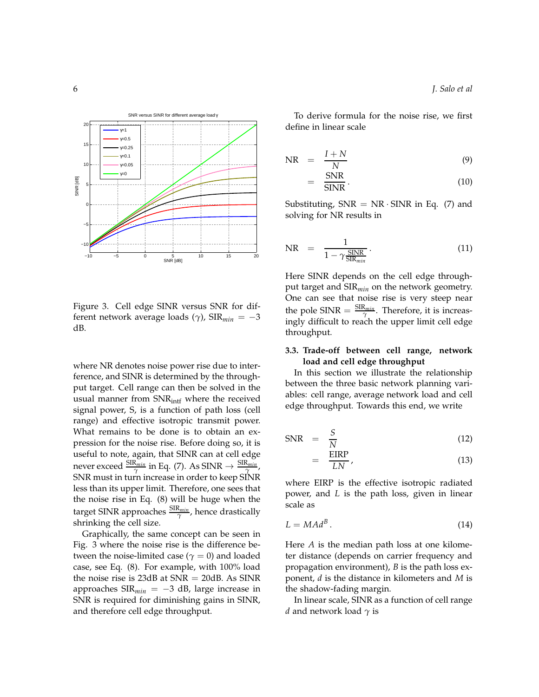

Figure 3. Cell edge SINR versus SNR for different network average loads (*γ*), SIR*min* = −3 dB.

where NR denotes noise power rise due to interference, and SINR is determined by the throughput target. Cell range can then be solved in the usual manner from  $SNR_{\text{intf}}$  where the received signal power, S, is a function of path loss (cell range) and effective isotropic transmit power. What remains to be done is to obtain an expression for the noise rise. Before doing so, it is useful to note, again, that SINR can at cell edge never exceed  $\frac{\text{SIR}_{min}}{\gamma}$  in Eq. (7). As  $\text{SINR} \rightarrow \frac{\text{SIR}_{min}}{\gamma}$ , SNR must in turn increase in order to keep SINR less than its upper limit. Therefore, one sees that the noise rise in Eq. (8) will be huge when the target SINR approaches  $\frac{\text{SIR}_{min}}{\gamma}$ , hence drastically shrinking the cell size.

Graphically, the same concept can be seen in Fig. 3 where the noise rise is the difference between the noise-limited case ( $\gamma = 0$ ) and loaded case, see Eq. (8). For example, with 100% load the noise rise is  $23dB$  at  $SNR = 20dB$ . As SINR approaches SIR*min* = −3 dB, large increase in SNR is required for diminishing gains in SINR, and therefore cell edge throughput.

To derive formula for the noise rise, we first define in linear scale

$$
NR = \frac{I+N}{N} \tag{9}
$$

$$
= \frac{\text{SNR}}{\text{SINR}}.\tag{10}
$$

Substituting,  $SNR = NR \cdot SINR$  in Eq. (7) and solving for NR results in

$$
NR = \frac{1}{1 - \gamma \frac{\text{SINR}}{\text{SIR}_{min}}}.
$$
\n(11)

Here SINR depends on the cell edge throughput target and SIR*min* on the network geometry. One can see that noise rise is very steep near the pole  $\text{SINR} = \frac{\text{SIR}_{min}}{\gamma}$ . Therefore, it is increasingly difficult to reach the upper limit cell edge throughput.

### **3.3. Trade-off between cell range, network load and cell edge throughput**

In this section we illustrate the relationship between the three basic network planning variables: cell range, average network load and cell edge throughput. Towards this end, we write

$$
SNR = \frac{S}{N} \tag{12}
$$

$$
= \frac{\text{EIRP}}{\text{LN}}\tag{13}
$$

where EIRP is the effective isotropic radiated power, and *L* is the path loss, given in linear scale as

$$
L = M A d^B. \tag{14}
$$

Here *A* is the median path loss at one kilometer distance (depends on carrier frequency and propagation environment), *B* is the path loss exponent, *d* is the distance in kilometers and *M* is the shadow-fading margin.

In linear scale, SINR as a function of cell range *d* and network load *γ* is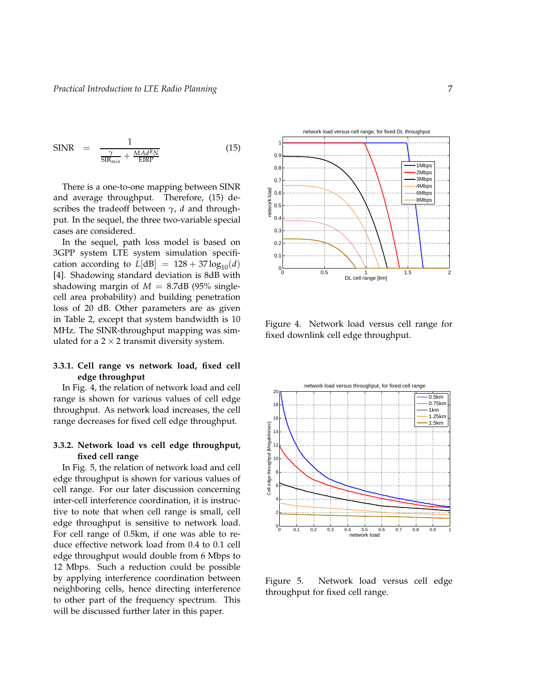$$
\text{SINR} = \frac{1}{\frac{\gamma}{\text{SIR}_{min}} + \frac{M A d^B N}{\text{EIRP}}}
$$
(15)

There is a one-to-one mapping between SINR and average throughput. Therefore, (15) describes the tradeoff between *γ*, *d* and throughput. In the sequel, the three two-variable special cases are considered.

In the sequel, path loss model is based on 3GPP system LTE system simulation specification according to  $L[dB] = 128 + 37 \log_{10}(d)$ [4]. Shadowing standard deviation is 8dB with shadowing margin of  $M = 8.7$ dB (95% singlecell area probability) and building penetration loss of 20 dB. Other parameters are as given in Table 2, except that system bandwidth is 10 MHz. The SINR-throughput mapping was simulated for a  $2 \times 2$  transmit diversity system.

### **3.3.1. Cell range vs network load, fixed cell edge throughput**

In Fig. 4, the relation of network load and cell range is shown for various values of cell edge throughput. As network load increases, the cell range decreases for fixed cell edge throughput.

# **3.3.2. Network load vs cell edge throughput, fixed cell range**

In Fig. 5, the relation of network load and cell edge throughput is shown for various values of cell range. For our later discussion concerning inter-cell interference coordination, it is instructive to note that when cell range is small, cell edge throughput is sensitive to network load. For cell range of 0.5km, if one was able to reduce effective network load from 0.4 to 0.1 cell edge throughput would double from 6 Mbps to 12 Mbps. Such a reduction could be possible by applying interference coordination between neighboring cells, hence directing interference to other part of the frequency spectrum. This will be discussed further later in this paper.



Figure 4. Network load versus cell range for fixed downlink cell edge throughput.



Figure 5. Network load versus cell edge throughput for fixed cell range.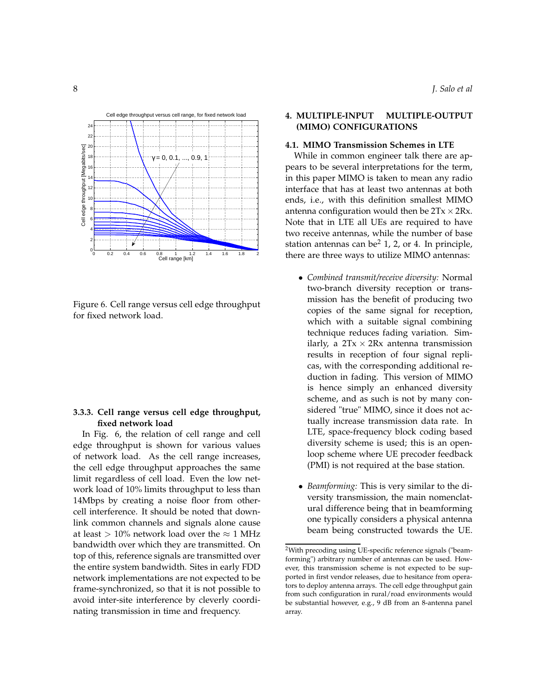

0 0.2 0.4 0.6 0.8 1 1.2 1.4 1.6 1.8 2

Cell range [km]

Figure 6. Cell range versus cell edge throughput for fixed network load.

# **3.3.3. Cell range versus cell edge throughput, fixed network load**

In Fig. 6, the relation of cell range and cell edge throughput is shown for various values of network load. As the cell range increases, the cell edge throughput approaches the same limit regardless of cell load. Even the low network load of 10% limits throughput to less than 14Mbps by creating a noise floor from othercell interference. It should be noted that downlink common channels and signals alone cause at least > 10% network load over the  $\approx$  1 MHz bandwidth over which they are transmitted. On top of this, reference signals are transmitted over the entire system bandwidth. Sites in early FDD network implementations are not expected to be frame-synchronized, so that it is not possible to avoid inter-site interference by cleverly coordinating transmission in time and frequency.

# **4. MULTIPLE-INPUT MULTIPLE-OUTPUT (MIMO) CONFIGURATIONS**

#### **4.1. MIMO Transmission Schemes in LTE**

While in common engineer talk there are appears to be several interpretations for the term, in this paper MIMO is taken to mean any radio interface that has at least two antennas at both ends, i.e., with this definition smallest MIMO antenna configuration would then be  $2Tx \times 2Rx$ . Note that in LTE all UEs are required to have two receive antennas, while the number of base station antennas can be<sup>2</sup> 1, 2, or 4. In principle, there are three ways to utilize MIMO antennas:

- *Combined transmit/receive diversity:* Normal two-branch diversity reception or transmission has the benefit of producing two copies of the same signal for reception, which with a suitable signal combining technique reduces fading variation. Similarly, a  $2Tx \times 2Rx$  antenna transmission results in reception of four signal replicas, with the corresponding additional reduction in fading. This version of MIMO is hence simply an enhanced diversity scheme, and as such is not by many considered "true" MIMO, since it does not actually increase transmission data rate. In LTE, space-frequency block coding based diversity scheme is used; this is an openloop scheme where UE precoder feedback (PMI) is not required at the base station.
- *Beamforming:* This is very similar to the diversity transmission, the main nomenclatural difference being that in beamforming one typically considers a physical antenna beam being constructed towards the UE.

0

<sup>&</sup>lt;sup>2</sup>With precoding using UE-specific reference signals ("beamforming") arbitrary number of antennas can be used. However, this transmission scheme is not expected to be supported in first vendor releases, due to hesitance from operators to deploy antenna arrays. The cell edge throughput gain from such configuration in rural/road environments would be substantial however, e.g., 9 dB from an 8-antenna panel array.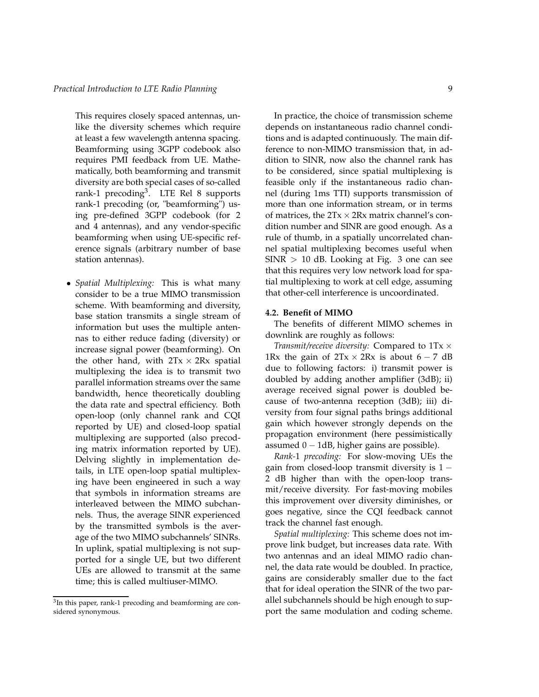This requires closely spaced antennas, unlike the diversity schemes which require at least a few wavelength antenna spacing. Beamforming using 3GPP codebook also requires PMI feedback from UE. Mathematically, both beamforming and transmit diversity are both special cases of so-called rank-1 precoding<sup>3</sup>. LTE Rel 8 supports rank-1 precoding (or, "beamforming") using pre-defined 3GPP codebook (for 2 and 4 antennas), and any vendor-specific beamforming when using UE-specific reference signals (arbitrary number of base station antennas).

• *Spatial Multiplexing:* This is what many consider to be a true MIMO transmission scheme. With beamforming and diversity, base station transmits a single stream of information but uses the multiple antennas to either reduce fading (diversity) or increase signal power (beamforming). On the other hand, with  $2Tx \times 2Rx$  spatial multiplexing the idea is to transmit two parallel information streams over the same bandwidth, hence theoretically doubling the data rate and spectral efficiency. Both open-loop (only channel rank and CQI reported by UE) and closed-loop spatial multiplexing are supported (also precoding matrix information reported by UE). Delving slightly in implementation details, in LTE open-loop spatial multiplexing have been engineered in such a way that symbols in information streams are interleaved between the MIMO subchannels. Thus, the average SINR experienced by the transmitted symbols is the average of the two MIMO subchannels' SINRs. In uplink, spatial multiplexing is not supported for a single UE, but two different UEs are allowed to transmit at the same time; this is called multiuser-MIMO.

In practice, the choice of transmission scheme depends on instantaneous radio channel conditions and is adapted continuously. The main difference to non-MIMO transmission that, in addition to SINR, now also the channel rank has to be considered, since spatial multiplexing is feasible only if the instantaneous radio channel (during 1ms TTI) supports transmission of more than one information stream, or in terms of matrices, the  $2Tx \times 2Rx$  matrix channel's condition number and SINR are good enough. As a rule of thumb, in a spatially uncorrelated channel spatial multiplexing becomes useful when  $SINR > 10$  dB. Looking at Fig. 3 one can see that this requires very low network load for spatial multiplexing to work at cell edge, assuming that other-cell interference is uncoordinated.

### **4.2. Benefit of MIMO**

The benefits of different MIMO schemes in downlink are roughly as follows:

*Transmit/receive diversity:* Compared to  $1Tx \times$ 1Rx the gain of  $2Tx \times 2Rx$  is about 6 – 7 dB due to following factors: i) transmit power is doubled by adding another amplifier (3dB); ii) average received signal power is doubled because of two-antenna reception (3dB); iii) diversity from four signal paths brings additional gain which however strongly depends on the propagation environment (here pessimistically assumed  $0 - 1$ dB, higher gains are possible).

*Rank-*1 *precoding:* For slow-moving UEs the gain from closed-loop transmit diversity is  $1 -$ 2 dB higher than with the open-loop transmit/receive diversity. For fast-moving mobiles this improvement over diversity diminishes, or goes negative, since the CQI feedback cannot track the channel fast enough.

*Spatial multiplexing:* This scheme does not improve link budget, but increases data rate. With two antennas and an ideal MIMO radio channel, the data rate would be doubled. In practice, gains are considerably smaller due to the fact that for ideal operation the SINR of the two parallel subchannels should be high enough to support the same modulation and coding scheme.

<sup>&</sup>lt;sup>3</sup>In this paper, rank-1 precoding and beamforming are considered synonymous.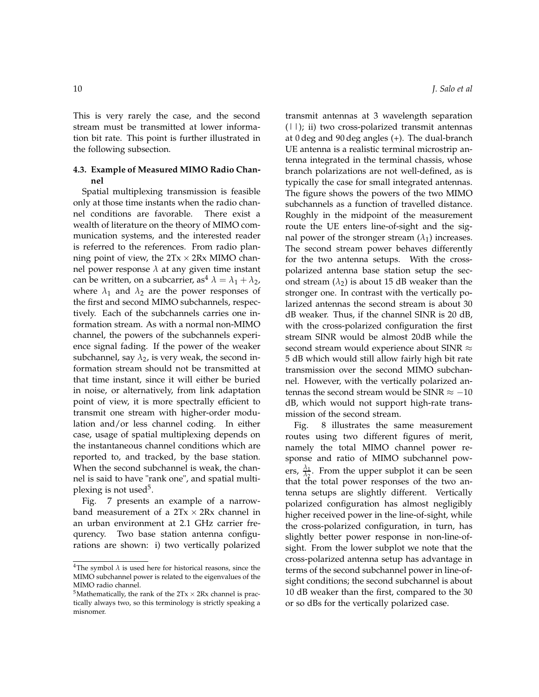This is very rarely the case, and the second stream must be transmitted at lower information bit rate. This point is further illustrated in the following subsection.

# **4.3. Example of Measured MIMO Radio Channel**

Spatial multiplexing transmission is feasible only at those time instants when the radio channel conditions are favorable. There exist a wealth of literature on the theory of MIMO communication systems, and the interested reader is referred to the references. From radio planning point of view, the  $2Tx \times 2Rx$  MIMO channel power response *λ* at any given time instant can be written, on a subcarrier, as<sup>4</sup>  $\lambda = \lambda_1 + \lambda_2$ , where  $\lambda_1$  and  $\lambda_2$  are the power responses of the first and second MIMO subchannels, respectively. Each of the subchannels carries one information stream. As with a normal non-MIMO channel, the powers of the subchannels experience signal fading. If the power of the weaker subchannel, say  $\lambda_2$ , is very weak, the second information stream should not be transmitted at that time instant, since it will either be buried in noise, or alternatively, from link adaptation point of view, it is more spectrally efficient to transmit one stream with higher-order modulation and/or less channel coding. In either case, usage of spatial multiplexing depends on the instantaneous channel conditions which are reported to, and tracked, by the base station. When the second subchannel is weak, the channel is said to have "rank one", and spatial multiplexing is not used<sup>5</sup>.

Fig. 7 presents an example of a narrowband measurement of a  $2Tx \times 2Rx$  channel in an urban environment at 2.1 GHz carrier frequrency. Two base station antenna configurations are shown: i) two vertically polarized transmit antennas at 3 wavelength separation  $(|\,|)$ ; ii) two cross-polarized transmit antennas at 0 deg and 90 deg angles (+). The dual-branch UE antenna is a realistic terminal microstrip antenna integrated in the terminal chassis, whose branch polarizations are not well-defined, as is typically the case for small integrated antennas. The figure shows the powers of the two MIMO subchannels as a function of travelled distance. Roughly in the midpoint of the measurement route the UE enters line-of-sight and the signal power of the stronger stream  $(\lambda_1)$  increases. The second stream power behaves differently for the two antenna setups. With the crosspolarized antenna base station setup the second stream  $(\lambda_2)$  is about 15 dB weaker than the stronger one. In contrast with the vertically polarized antennas the second stream is about 30 dB weaker. Thus, if the channel SINR is 20 dB, with the cross-polarized configuration the first stream SINR would be almost 20dB while the second stream would experience about SINR  $\approx$ 5 dB which would still allow fairly high bit rate transmission over the second MIMO subchannel. However, with the vertically polarized antennas the second stream would be SINR  $\approx -10$ dB, which would not support high-rate transmission of the second stream.

Fig. 8 illustrates the same measurement routes using two different figures of merit, namely the total MIMO channel power response and ratio of MIMO subchannel powers, *λ*1  $\frac{\lambda_1}{\lambda_2}$ . From the upper subplot it can be seen that the total power responses of the two antenna setups are slightly different. Vertically polarized configuration has almost negligibly higher received power in the line-of-sight, while the cross-polarized configuration, in turn, has slightly better power response in non-line-ofsight. From the lower subplot we note that the cross-polarized antenna setup has advantage in terms of the second subchannel power in line-ofsight conditions; the second subchannel is about 10 dB weaker than the first, compared to the 30 or so dBs for the vertically polarized case.

 $^4\mathrm{The}$  symbol  $\lambda$  is used here for historical reasons, since the MIMO subchannel power is related to the eigenvalues of the MIMO radio channel.

<sup>&</sup>lt;sup>5</sup>Mathematically, the rank of the  $2Tx \times 2Rx$  channel is practically always two, so this terminology is strictly speaking a misnomer.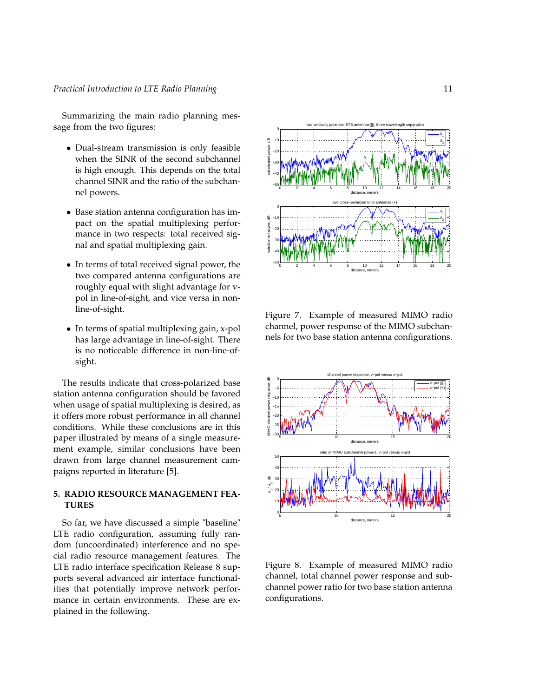Summarizing the main radio planning message from the two figures:

- Dual-stream transmission is only feasible when the SINR of the second subchannel is high enough. This depends on the total channel SINR and the ratio of the subchannel powers.
- Base station antenna configuration has impact on the spatial multiplexing performance in two respects: total received signal and spatial multiplexing gain.
- In terms of total received signal power, the two compared antenna configurations are roughly equal with slight advantage for vpol in line-of-sight, and vice versa in nonline-of-sight.
- In terms of spatial multiplexing gain, x-pol has large advantage in line-of-sight. There is no noticeable difference in non-line-ofsight.

The results indicate that cross-polarized base station antenna configuration should be favored when usage of spatial multiplexing is desired, as it offers more robust performance in all channel conditions. While these conclusions are in this paper illustrated by means of a single measurement example, similar conclusions have been drawn from large channel measurement campaigns reported in literature [5].

# **5. RADIO RESOURCE MANAGEMENT FEA-TURES**

So far, we have discussed a simple "baseline" LTE radio configuration, assuming fully random (uncoordinated) interference and no special radio resource management features. The LTE radio interface specification Release 8 supports several advanced air interface functionalities that potentially improve network performance in certain environments. These are explained in the following.



Figure 7. Example of measured MIMO radio channel, power response of the MIMO subchannels for two base station antenna configurations.



Figure 8. Example of measured MIMO radio channel, total channel power response and subchannel power ratio for two base station antenna configurations.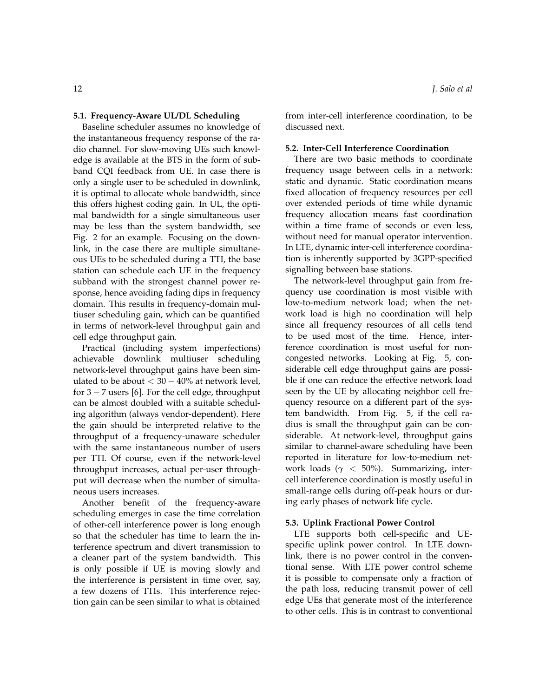### **5.1. Frequency-Aware UL/DL Scheduling**

Baseline scheduler assumes no knowledge of the instantaneous frequency response of the radio channel. For slow-moving UEs such knowledge is available at the BTS in the form of subband CQI feedback from UE. In case there is only a single user to be scheduled in downlink, it is optimal to allocate whole bandwidth, since this offers highest coding gain. In UL, the optimal bandwidth for a single simultaneous user may be less than the system bandwidth, see Fig. 2 for an example. Focusing on the downlink, in the case there are multiple simultaneous UEs to be scheduled during a TTI, the base station can schedule each UE in the frequency subband with the strongest channel power response, hence avoiding fading dips in frequency domain. This results in frequency-domain multiuser scheduling gain, which can be quantified in terms of network-level throughput gain and cell edge throughput gain.

Practical (including system imperfections) achievable downlink multiuser scheduling network-level throughput gains have been simulated to be about  $<$  30  $-$  40% at network level, for  $3 - 7$  users [6]. For the cell edge, throughput can be almost doubled with a suitable scheduling algorithm (always vendor-dependent). Here the gain should be interpreted relative to the throughput of a frequency-unaware scheduler with the same instantaneous number of users per TTI. Of course, even if the network-level throughput increases, actual per-user throughput will decrease when the number of simultaneous users increases.

Another benefit of the frequency-aware scheduling emerges in case the time correlation of other-cell interference power is long enough so that the scheduler has time to learn the interference spectrum and divert transmission to a cleaner part of the system bandwidth. This is only possible if UE is moving slowly and the interference is persistent in time over, say, a few dozens of TTIs. This interference rejection gain can be seen similar to what is obtained from inter-cell interference coordination, to be discussed next.

#### **5.2. Inter-Cell Interference Coordination**

There are two basic methods to coordinate frequency usage between cells in a network: static and dynamic. Static coordination means fixed allocation of frequency resources per cell over extended periods of time while dynamic frequency allocation means fast coordination within a time frame of seconds or even less, without need for manual operator intervention. In LTE, dynamic inter-cell interference coordination is inherently supported by 3GPP-specified signalling between base stations.

The network-level throughput gain from frequency use coordination is most visible with low-to-medium network load; when the network load is high no coordination will help since all frequency resources of all cells tend to be used most of the time. Hence, interference coordination is most useful for noncongested networks. Looking at Fig. 5, considerable cell edge throughput gains are possible if one can reduce the effective network load seen by the UE by allocating neighbor cell frequency resource on a different part of the system bandwidth. From Fig. 5, if the cell radius is small the throughput gain can be considerable. At network-level, throughput gains similar to channel-aware scheduling have been reported in literature for low-to-medium network loads (*γ* < 50%). Summarizing, intercell interference coordination is mostly useful in small-range cells during off-peak hours or during early phases of network life cycle.

### **5.3. Uplink Fractional Power Control**

LTE supports both cell-specific and UEspecific uplink power control. In LTE downlink, there is no power control in the conventional sense. With LTE power control scheme it is possible to compensate only a fraction of the path loss, reducing transmit power of cell edge UEs that generate most of the interference to other cells. This is in contrast to conventional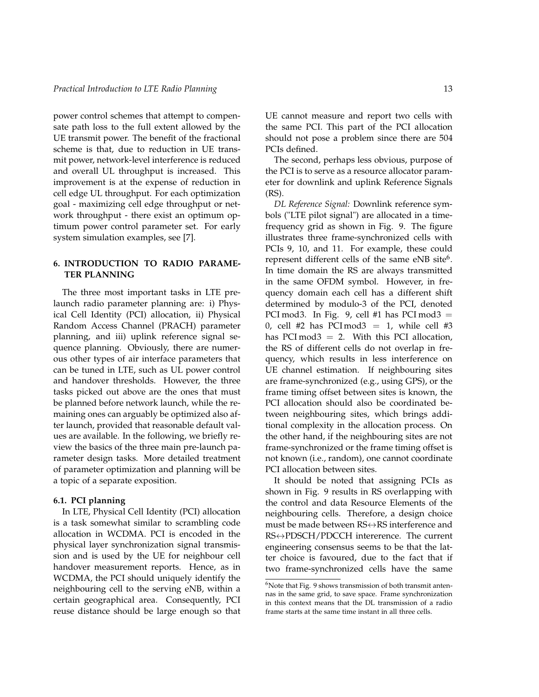power control schemes that attempt to compensate path loss to the full extent allowed by the UE transmit power. The benefit of the fractional scheme is that, due to reduction in UE transmit power, network-level interference is reduced and overall UL throughput is increased. This improvement is at the expense of reduction in cell edge UL throughput. For each optimization goal - maximizing cell edge throughput or network throughput - there exist an optimum optimum power control parameter set. For early system simulation examples, see [7].

# **6. INTRODUCTION TO RADIO PARAME-TER PLANNING**

The three most important tasks in LTE prelaunch radio parameter planning are: i) Physical Cell Identity (PCI) allocation, ii) Physical Random Access Channel (PRACH) parameter planning, and iii) uplink reference signal sequence planning. Obviously, there are numerous other types of air interface parameters that can be tuned in LTE, such as UL power control and handover thresholds. However, the three tasks picked out above are the ones that must be planned before network launch, while the remaining ones can arguably be optimized also after launch, provided that reasonable default values are available. In the following, we briefly review the basics of the three main pre-launch parameter design tasks. More detailed treatment of parameter optimization and planning will be a topic of a separate exposition.

### **6.1. PCI planning**

In LTE, Physical Cell Identity (PCI) allocation is a task somewhat similar to scrambling code allocation in WCDMA. PCI is encoded in the physical layer synchronization signal transmission and is used by the UE for neighbour cell handover measurement reports. Hence, as in WCDMA, the PCI should uniquely identify the neighbouring cell to the serving eNB, within a certain geographical area. Consequently, PCI reuse distance should be large enough so that UE cannot measure and report two cells with the same PCI. This part of the PCI allocation should not pose a problem since there are 504 PCIs defined.

The second, perhaps less obvious, purpose of the PCI is to serve as a resource allocator parameter for downlink and uplink Reference Signals (RS).

*DL Reference Signal:* Downlink reference symbols ("LTE pilot signal") are allocated in a timefrequency grid as shown in Fig. 9. The figure illustrates three frame-synchronized cells with PCIs 9, 10, and 11. For example, these could represent different cells of the same eNB site<sup>6</sup>. In time domain the RS are always transmitted in the same OFDM symbol. However, in frequency domain each cell has a different shift determined by modulo-3 of the PCI, denoted PCI mod 3. In Fig. 9, cell #1 has PCI mod  $3 =$ 0, cell #2 has PCI mod  $3 = 1$ , while cell #3 has PCI mod $3 = 2$ . With this PCI allocation, the RS of different cells do not overlap in frequency, which results in less interference on UE channel estimation. If neighbouring sites are frame-synchronized (e.g., using GPS), or the frame timing offset between sites is known, the PCI allocation should also be coordinated between neighbouring sites, which brings additional complexity in the allocation process. On the other hand, if the neighbouring sites are not frame-synchronized or the frame timing offset is not known (i.e., random), one cannot coordinate PCI allocation between sites.

It should be noted that assigning PCIs as shown in Fig. 9 results in RS overlapping with the control and data Resource Elements of the neighbouring cells. Therefore, a design choice must be made between  $RS \leftrightarrow RS$  interference and RS↔PDSCH/PDCCH intererence. The current engineering consensus seems to be that the latter choice is favoured, due to the fact that if two frame-synchronized cells have the same

 $6$ Note that Fig. 9 shows transmission of both transmit antennas in the same grid, to save space. Frame synchronization in this context means that the DL transmission of a radio frame starts at the same time instant in all three cells.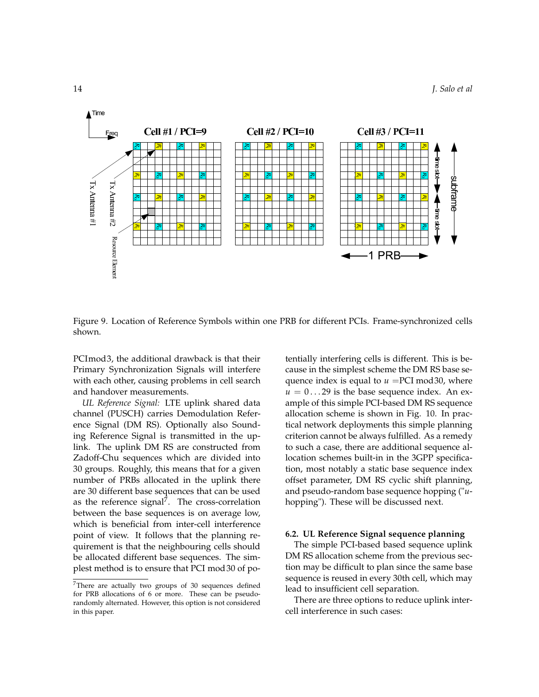

Figure 9. Location of Reference Symbols within one PRB for different PCIs. Frame-synchronized cells shown.

PCImod3, the additional drawback is that their Primary Synchronization Signals will interfere with each other, causing problems in cell search and handover measurements.

*UL Reference Signal:* LTE uplink shared data channel (PUSCH) carries Demodulation Reference Signal (DM RS). Optionally also Sounding Reference Signal is transmitted in the uplink. The uplink DM RS are constructed from Zadoff-Chu sequences which are divided into 30 groups. Roughly, this means that for a given number of PRBs allocated in the uplink there are 30 different base sequences that can be used as the reference signal<sup>7</sup>. The cross-correlation between the base sequences is on average low, which is beneficial from inter-cell interference point of view. It follows that the planning requirement is that the neighbouring cells should be allocated different base sequences. The simplest method is to ensure that PCI mod 30 of potentially interfering cells is different. This is because in the simplest scheme the DM RS base sequence index is equal to  $u = PCI \mod 30$ , where  $u = 0...29$  is the base sequence index. An example of this simple PCI-based DM RS sequence allocation scheme is shown in Fig. 10. In practical network deployments this simple planning criterion cannot be always fulfilled. As a remedy to such a case, there are additional sequence allocation schemes built-in in the 3GPP specification, most notably a static base sequence index offset parameter, DM RS cyclic shift planning, and pseudo-random base sequence hopping ("*u*hopping"). These will be discussed next.

#### **6.2. UL Reference Signal sequence planning**

The simple PCI-based based sequence uplink DM RS allocation scheme from the previous section may be difficult to plan since the same base sequence is reused in every 30th cell, which may lead to insufficient cell separation.

There are three options to reduce uplink intercell interference in such cases:

<sup>&</sup>lt;sup>7</sup>There are actually two groups of 30 sequences defined for PRB allocations of 6 or more. These can be pseudorandomly alternated. However, this option is not considered in this paper.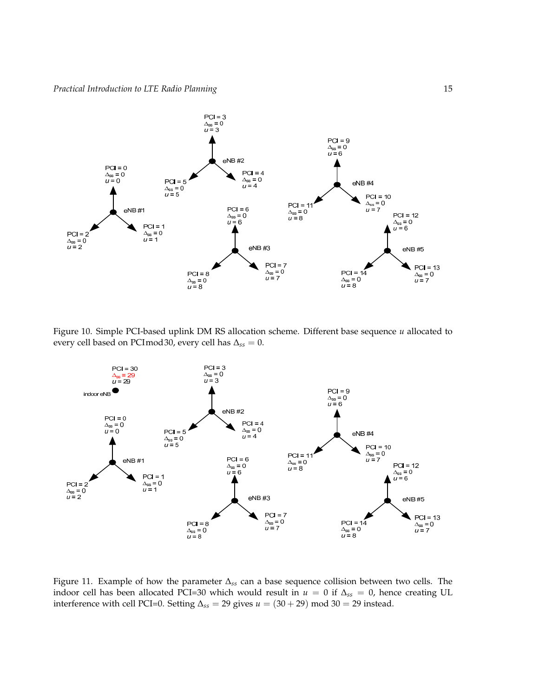

Figure 10. Simple PCI-based uplink DM RS allocation scheme. Different base sequence *u* allocated to every cell based on PCImod30, every cell has ∆*ss* = 0.



Figure 11. Example of how the parameter ∆*ss* can a base sequence collision between two cells. The indoor cell has been allocated PCI=30 which would result in  $u = 0$  if  $\Delta_{ss} = 0$ , hence creating UL interference with cell PCI=0. Setting ∆*ss* = 29 gives *u* = (30 + 29) mod 30 = 29 instead.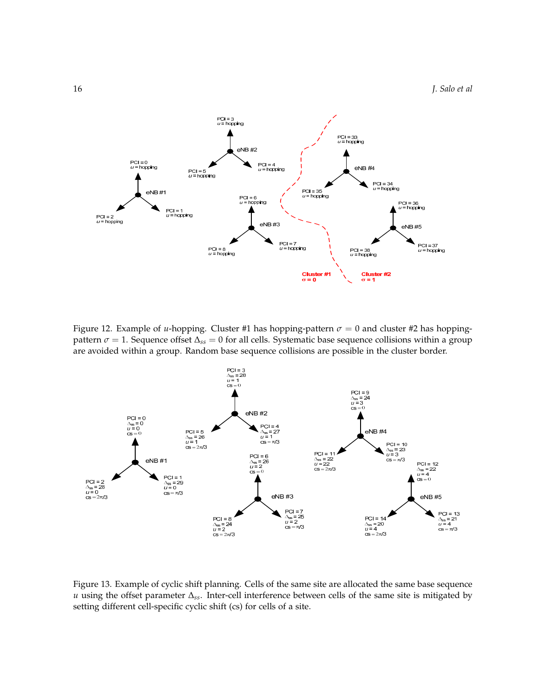

Figure 12. Example of *u*-hopping. Cluster #1 has hopping-pattern  $\sigma = 0$  and cluster #2 has hoppingpattern  $\sigma = 1$ . Sequence offset  $\Delta_{ss} = 0$  for all cells. Systematic base sequence collisions within a group are avoided within a group. Random base sequence collisions are possible in the cluster border.



Figure 13. Example of cyclic shift planning. Cells of the same site are allocated the same base sequence *u* using the offset parameter ∆*ss*. Inter-cell interference between cells of the same site is mitigated by setting different cell-specific cyclic shift (cs) for cells of a site.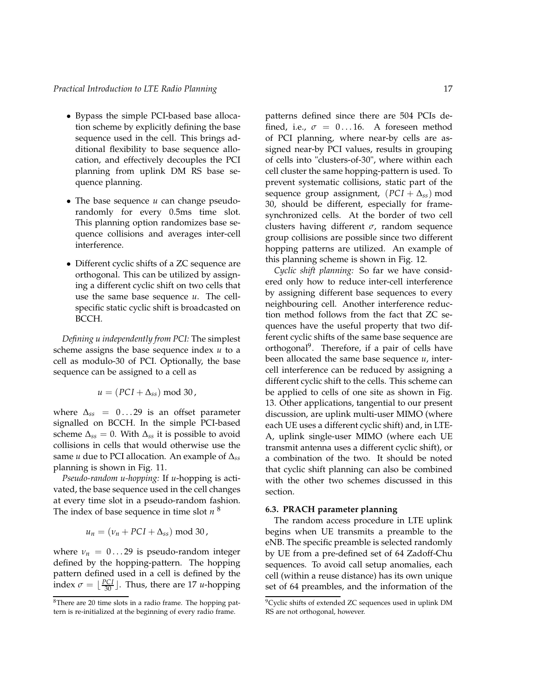- Bypass the simple PCI-based base allocation scheme by explicitly defining the base sequence used in the cell. This brings additional flexibility to base sequence allocation, and effectively decouples the PCI planning from uplink DM RS base sequence planning.
- The base sequence *u* can change pseudorandomly for every 0.5ms time slot. This planning option randomizes base sequence collisions and averages inter-cell interference.
- Different cyclic shifts of a ZC sequence are orthogonal. This can be utilized by assigning a different cyclic shift on two cells that use the same base sequence *u*. The cellspecific static cyclic shift is broadcasted on BCCH.

*Defining u independently from PCI:* The simplest scheme assigns the base sequence index *u* to a cell as modulo-30 of PCI. Optionally, the base sequence can be assigned to a cell as

$$
u = (PCI + \Delta_{ss}) \text{ mod } 30,
$$

where  $\Delta_{ss}$  = 0...29 is an offset parameter signalled on BCCH. In the simple PCI-based scheme  $\Delta_{ss} = 0$ . With  $\Delta_{ss}$  it is possible to avoid collisions in cells that would otherwise use the same *u* due to PCI allocation. An example of ∆*ss* planning is shown in Fig. 11.

*Pseudo-random u-hopping:* If *u*-hopping is activated, the base sequence used in the cell changes at every time slot in a pseudo-random fashion. The index of base sequence in time slot *n* 8

$$
u_n = (v_n + PCI + \Delta_{ss}) \text{ mod } 30,
$$

where  $\nu_n = 0...29$  is pseudo-random integer defined by the hopping-pattern. The hopping pattern defined used in a cell is defined by the index  $\sigma = \lfloor \frac{PCI}{30} \rfloor$ . Thus, there are 17 *u*-hopping patterns defined since there are 504 PCIs defined, i.e.,  $\sigma = 0...16$ . A foreseen method of PCI planning, where near-by cells are assigned near-by PCI values, results in grouping of cells into "clusters-of-30", where within each cell cluster the same hopping-pattern is used. To prevent systematic collisions, static part of the sequence group assignment, (*PCI* + ∆*ss*) mod 30, should be different, especially for framesynchronized cells. At the border of two cell clusters having different *σ*, random sequence group collisions are possible since two different hopping patterns are utilized. An example of this planning scheme is shown in Fig. 12.

*Cyclic shift planning:* So far we have considered only how to reduce inter-cell interference by assigning different base sequences to every neighbouring cell. Another interference reduction method follows from the fact that ZC sequences have the useful property that two different cyclic shifts of the same base sequence are orthogonal<sup>9</sup>. Therefore, if a pair of cells have been allocated the same base sequence *u*, intercell interference can be reduced by assigning a different cyclic shift to the cells. This scheme can be applied to cells of one site as shown in Fig. 13. Other applications, tangential to our present discussion, are uplink multi-user MIMO (where each UE uses a different cyclic shift) and, in LTE-A, uplink single-user MIMO (where each UE transmit antenna uses a different cyclic shift), or a combination of the two. It should be noted that cyclic shift planning can also be combined with the other two schemes discussed in this section.

### **6.3. PRACH parameter planning**

The random access procedure in LTE uplink begins when UE transmits a preamble to the eNB. The specific preamble is selected randomly by UE from a pre-defined set of 64 Zadoff-Chu sequences. To avoid call setup anomalies, each cell (within a reuse distance) has its own unique set of 64 preambles, and the information of the

<sup>8</sup>There are 20 time slots in a radio frame. The hopping pattern is re-initialized at the beginning of every radio frame.

<sup>&</sup>lt;sup>9</sup>Cyclic shifts of extended ZC sequences used in uplink DM RS are not orthogonal, however.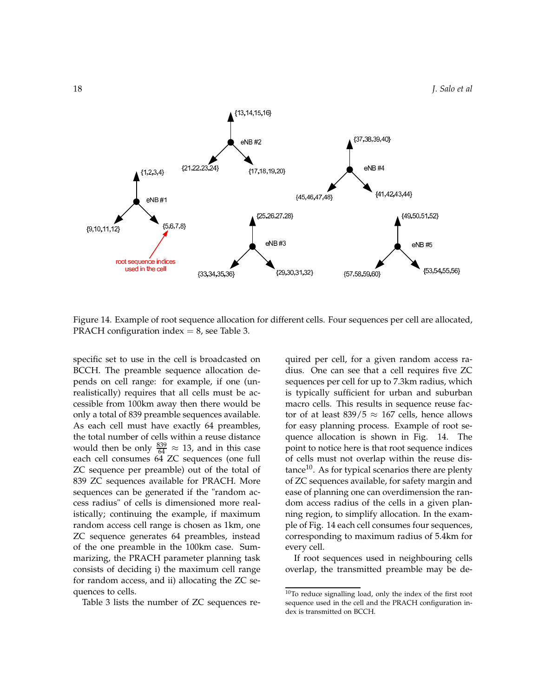

Figure 14. Example of root sequence allocation for different cells. Four sequences per cell are allocated, PRACH configuration index  $= 8$ , see Table 3.

specific set to use in the cell is broadcasted on BCCH. The preamble sequence allocation depends on cell range: for example, if one (unrealistically) requires that all cells must be accessible from 100km away then there would be only a total of 839 preamble sequences available. As each cell must have exactly 64 preambles, the total number of cells within a reuse distance would then be only  $\frac{839}{64} \approx 13$ , and in this case each cell consumes 64 ZC sequences (one full ZC sequence per preamble) out of the total of 839 ZC sequences available for PRACH. More sequences can be generated if the "random access radius" of cells is dimensioned more realistically; continuing the example, if maximum random access cell range is chosen as 1km, one ZC sequence generates 64 preambles, instead of the one preamble in the 100km case. Summarizing, the PRACH parameter planning task consists of deciding i) the maximum cell range for random access, and ii) allocating the ZC sequences to cells.

Table 3 lists the number of ZC sequences re-

quired per cell, for a given random access radius. One can see that a cell requires five ZC sequences per cell for up to 7.3km radius, which is typically sufficient for urban and suburban macro cells. This results in sequence reuse factor of at least  $839/5 \approx 167$  cells, hence allows for easy planning process. Example of root sequence allocation is shown in Fig. 14. The point to notice here is that root sequence indices of cells must not overlap within the reuse distance<sup>10</sup>. As for typical scenarios there are plenty of ZC sequences available, for safety margin and ease of planning one can overdimension the random access radius of the cells in a given planning region, to simplify allocation. In the example of Fig. 14 each cell consumes four sequences, corresponding to maximum radius of 5.4km for every cell.

If root sequences used in neighbouring cells overlap, the transmitted preamble may be de-

<sup>10</sup>To reduce signalling load, only the index of the first root sequence used in the cell and the PRACH configuration index is transmitted on BCCH.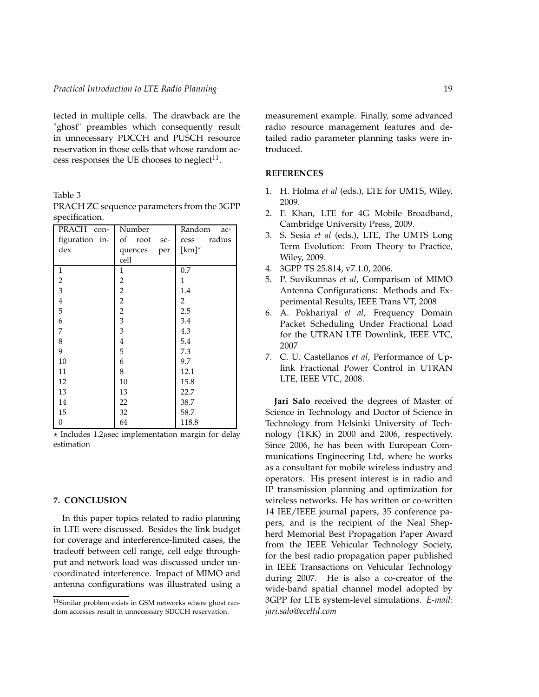tected in multiple cells. The drawback are the "ghost" preambles which consequently result in unnecessary PDCCH and PUSCH resource reservation in those cells that whose random access responses the UE chooses to neglect $11$ .

Table 3

| PRACH con-       | Number                  | Random<br>ac-  |
|------------------|-------------------------|----------------|
| figuration in-   | of root<br>se-          | radius<br>cess |
| dex              | quences<br>per          | [ $km$ ]*      |
|                  | cell                    |                |
| $\mathbf{1}$     | $\mathbf{1}$            | 0.7            |
| $\overline{c}$   | 2                       | $\mathbf{1}$   |
| $\overline{3}$   | $\overline{c}$          | 1.4            |
| $\,4$            | $\overline{c}$          | 2              |
| 5                | $\overline{c}$          | 2.5            |
| 6                | $\mathfrak{Z}$          | 3.4            |
| $\overline{7}$   | 3                       | 4.3            |
| 8                | $\overline{\mathbf{4}}$ | 5.4            |
| 9                | 5                       | 7.3            |
| 10               | 6                       | 9.7            |
| 11               | 8                       | 12.1           |
| 12               | 10                      | 15.8           |
| 13               | 13                      | 22.7           |
| 14               | 22                      | 38.7           |
| 15               | 32                      | 58.7           |
| $\boldsymbol{0}$ | 64                      | 118.8          |

PRACH ZC sequence parameters from the 3GPP specification.

⋆ Includes 1.2*µ*sec implementation margin for delay estimation

### **7. CONCLUSION**

In this paper topics related to radio planning in LTE were discussed. Besides the link budget for coverage and interference-limited cases, the tradeoff between cell range, cell edge throughput and network load was discussed under uncoordinated interference. Impact of MIMO and antenna configurations was illustrated using a

measurement example. Finally, some advanced radio resource management features and detailed radio parameter planning tasks were introduced.

### **REFERENCES**

- 1. H. Holma *et al* (eds.), LTE for UMTS, Wiley, 2009.
- 2. F. Khan, LTE for 4G Mobile Broadband, Cambridge University Press, 2009.
- 3. S. Sesia *et al* (eds.), LTE, The UMTS Long Term Evolution: From Theory to Practice, Wiley, 2009.
- 4. 3GPP TS 25.814, v7.1.0, 2006.
- 5. P. Suvikunnas *et al*, Comparison of MIMO Antenna Configurations: Methods and Experimental Results, IEEE Trans VT, 2008
- 6. A. Pokhariyal *et al*, Frequency Domain Packet Scheduling Under Fractional Load for the UTRAN LTE Downlink, IEEE VTC, 2007
- 7. C. U. Castellanos *et al*, Performance of Uplink Fractional Power Control in UTRAN LTE, IEEE VTC, 2008.

**Jari Salo** received the degrees of Master of Science in Technology and Doctor of Science in Technology from Helsinki University of Technology (TKK) in 2000 and 2006, respectively. Since 2006, he has been with European Communications Engineering Ltd, where he works as a consultant for mobile wireless industry and operators. His present interest is in radio and IP transmission planning and optimization for wireless networks. He has written or co-written 14 IEE/IEEE journal papers, 35 conference papers, and is the recipient of the Neal Shepherd Memorial Best Propagation Paper Award from the IEEE Vehicular Technology Society, for the best radio propagation paper published in IEEE Transactions on Vehicular Technology during 2007. He is also a co-creator of the wide-band spatial channel model adopted by 3GPP for LTE system-level simulations. *E-mail: jari.salo@eceltd.com*

<sup>11</sup>Similar problem exists in GSM networks where ghost random accesses result in unnecessary SDCCH reservation.